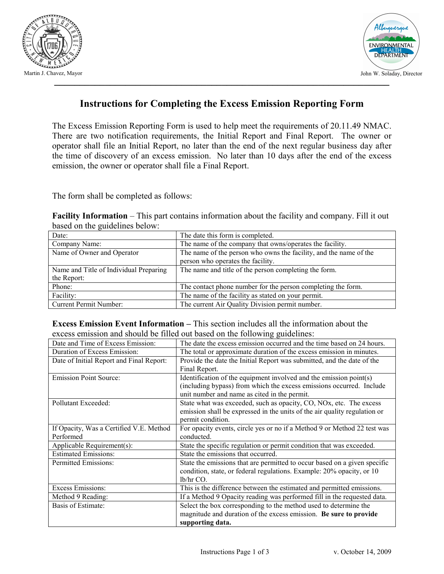



### Instructions for Completing the Excess Emission Reporting Form

The Excess Emission Reporting Form is used to help meet the requirements of 20.11.49 NMAC. There are two notification requirements, the Initial Report and Final Report. The owner or operator shall file an Initial Report, no later than the end of the next regular business day after the time of discovery of an excess emission. No later than 10 days after the end of the excess emission, the owner or operator shall file a Final Report.

The form shall be completed as follows:

| <b>Facility Information</b> – This part contains information about the facility and company. Fill it out |  |  |  |  |
|----------------------------------------------------------------------------------------------------------|--|--|--|--|
| based on the guidelines below:                                                                           |  |  |  |  |

| Date:                                  | The date this form is completed.                                  |  |  |
|----------------------------------------|-------------------------------------------------------------------|--|--|
| Company Name:                          | The name of the company that owns/operates the facility.          |  |  |
| Name of Owner and Operator             | The name of the person who owns the facility, and the name of the |  |  |
|                                        | person who operates the facility.                                 |  |  |
| Name and Title of Individual Preparing | The name and title of the person completing the form.             |  |  |
| the Report:                            |                                                                   |  |  |
| Phone:                                 | The contact phone number for the person completing the form.      |  |  |
| Facility:                              | The name of the facility as stated on your permit.                |  |  |
| Current Permit Number:                 | The current Air Quality Division permit number.                   |  |  |

#### Excess Emission Event Information – This section includes all the information about the excess emission and should be filled out based on the following guidelines:

| Date and Time of Excess Emission:        | The date the excess emission occurred and the time based on 24 hours.     |  |  |  |
|------------------------------------------|---------------------------------------------------------------------------|--|--|--|
| Duration of Excess Emission:             | The total or approximate duration of the excess emission in minutes.      |  |  |  |
| Date of Initial Report and Final Report: | Provide the date the Initial Report was submitted, and the date of the    |  |  |  |
|                                          | Final Report.                                                             |  |  |  |
| <b>Emission Point Source:</b>            | Identification of the equipment involved and the emission point(s)        |  |  |  |
|                                          | (including bypass) from which the excess emissions occurred. Include      |  |  |  |
|                                          | unit number and name as cited in the permit.                              |  |  |  |
| Pollutant Exceeded:                      | State what was exceeded, such as opacity, CO, NOx, etc. The excess        |  |  |  |
|                                          | emission shall be expressed in the units of the air quality regulation or |  |  |  |
|                                          | permit condition.                                                         |  |  |  |
| If Opacity, Was a Certified V.E. Method  | For opacity events, circle yes or no if a Method 9 or Method 22 test was  |  |  |  |
| Performed                                | conducted.                                                                |  |  |  |
| Applicable Requirement(s):               | State the specific regulation or permit condition that was exceeded.      |  |  |  |
| <b>Estimated Emissions:</b>              | State the emissions that occurred.                                        |  |  |  |
| Permitted Emissions:                     | State the emissions that are permitted to occur based on a given specific |  |  |  |
|                                          | condition, state, or federal regulations. Example: 20% opacity, or 10     |  |  |  |
|                                          | lb/hr CO.                                                                 |  |  |  |
| <b>Excess Emissions:</b>                 | This is the difference between the estimated and permitted emissions.     |  |  |  |
| Method 9 Reading:                        | If a Method 9 Opacity reading was performed fill in the requested data.   |  |  |  |
| Basis of Estimate:                       | Select the box corresponding to the method used to determine the          |  |  |  |
|                                          | magnitude and duration of the excess emission. Be sure to provide         |  |  |  |
|                                          | supporting data.                                                          |  |  |  |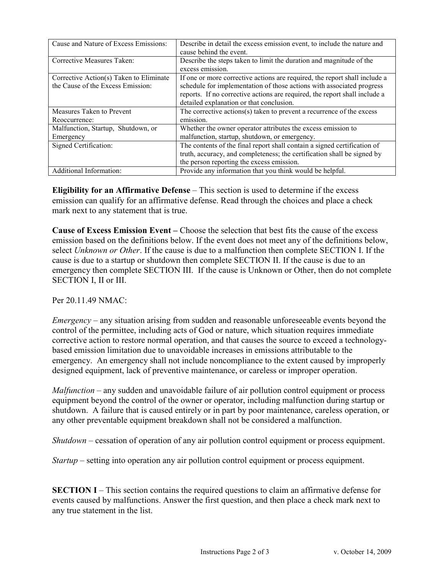| Cause and Nature of Excess Emissions:                                        | Describe in detail the excess emission event, to include the nature and<br>cause behind the event.                                                                                                                                                                            |
|------------------------------------------------------------------------------|-------------------------------------------------------------------------------------------------------------------------------------------------------------------------------------------------------------------------------------------------------------------------------|
| Corrective Measures Taken:                                                   | Describe the steps taken to limit the duration and magnitude of the<br>excess emission.                                                                                                                                                                                       |
| Corrective Action(s) Taken to Eliminate<br>the Cause of the Excess Emission: | If one or more corrective actions are required, the report shall include a<br>schedule for implementation of those actions with associated progress<br>reports. If no corrective actions are required, the report shall include a<br>detailed explanation or that conclusion. |
| Measures Taken to Prevent                                                    | The corrective actions(s) taken to prevent a recurrence of the excess                                                                                                                                                                                                         |
| Reoccurrence:                                                                | emission.                                                                                                                                                                                                                                                                     |
| Malfunction, Startup, Shutdown, or                                           | Whether the owner operator attributes the excess emission to                                                                                                                                                                                                                  |
| Emergency                                                                    | malfunction, startup, shutdown, or emergency.                                                                                                                                                                                                                                 |
| Signed Certification:                                                        | The contents of the final report shall contain a signed certification of                                                                                                                                                                                                      |
|                                                                              | truth, accuracy, and completeness; the certification shall be signed by                                                                                                                                                                                                       |
|                                                                              | the person reporting the excess emission.                                                                                                                                                                                                                                     |
| Additional Information:                                                      | Provide any information that you think would be helpful.                                                                                                                                                                                                                      |

Eligibility for an Affirmative Defense – This section is used to determine if the excess emission can qualify for an affirmative defense. Read through the choices and place a check mark next to any statement that is true.

Cause of Excess Emission Event – Choose the selection that best fits the cause of the excess emission based on the definitions below. If the event does not meet any of the definitions below, select Unknown or Other. If the cause is due to a malfunction then complete SECTION I. If the cause is due to a startup or shutdown then complete SECTION II. If the cause is due to an emergency then complete SECTION III. If the cause is Unknown or Other, then do not complete SECTION I, II or III.

Per 20.11.49 NMAC $\cdot$ 

*Emergency* – any situation arising from sudden and reasonable unforeseeable events beyond the control of the permittee, including acts of God or nature, which situation requires immediate corrective action to restore normal operation, and that causes the source to exceed a technologybased emission limitation due to unavoidable increases in emissions attributable to the emergency. An emergency shall not include noncompliance to the extent caused by improperly designed equipment, lack of preventive maintenance, or careless or improper operation.

 $M\alpha$ *Malfunction* – any sudden and unavoidable failure of air pollution control equipment or process equipment beyond the control of the owner or operator, including malfunction during startup or shutdown. A failure that is caused entirely or in part by poor maintenance, careless operation, or any other preventable equipment breakdown shall not be considered a malfunction.

 $$ 

Startup – setting into operation any air pollution control equipment or process equipment.

SECTION I – This section contains the required questions to claim an affirmative defense for events caused by malfunctions. Answer the first question, and then place a check mark next to any true statement in the list.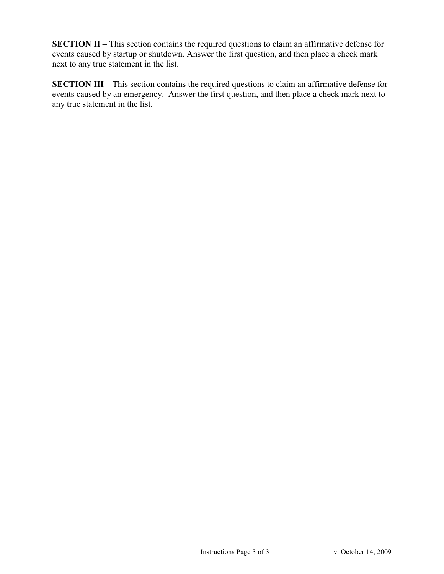SECTION II – This section contains the required questions to claim an affirmative defense for events caused by startup or shutdown. Answer the first question, and then place a check mark next to any true statement in the list.

SECTION III – This section contains the required questions to claim an affirmative defense for events caused by an emergency. Answer the first question, and then place a check mark next to any true statement in the list.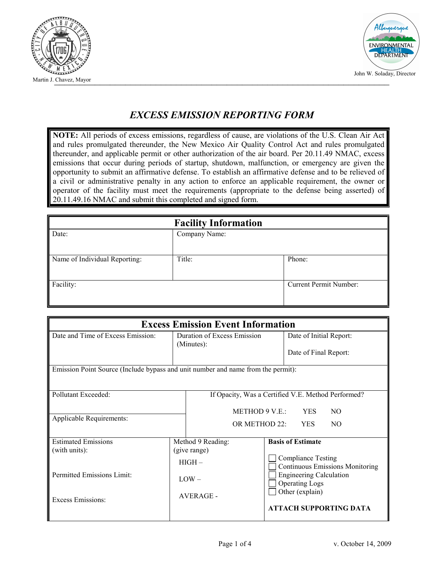



## EXCESS EMISSION REPORTING FORM

NOTE: All periods of excess emissions, regardless of cause, are violations of the U.S. Clean Air Act and rules promulgated thereunder, the New Mexico Air Quality Control Act and rules promulgated thereunder, and applicable permit or other authorization of the air board. Per 20.11.49 NMAC, excess emissions that occur during periods of startup, shutdown, malfunction, or emergency are given the opportunity to submit an affirmative defense. To establish an affirmative defense and to be relieved of a civil or administrative penalty in any action to enforce an applicable requirement, the owner or operator of the facility must meet the requirements (appropriate to the defense being asserted) of 20.11.49.16 NMAC and submit this completed and signed form.

| <b>Facility Information</b>   |               |                        |  |  |  |
|-------------------------------|---------------|------------------------|--|--|--|
| Date:                         | Company Name: |                        |  |  |  |
|                               |               |                        |  |  |  |
| Name of Individual Reporting: | Title:        | Phone:                 |  |  |  |
|                               |               |                        |  |  |  |
| Facility:                     |               | Current Permit Number: |  |  |  |
|                               |               |                        |  |  |  |

| <b>Excess Emission Event Information</b>                                         |                   |                                                                                           |                          |                                                                                                                                                   |  |  |
|----------------------------------------------------------------------------------|-------------------|-------------------------------------------------------------------------------------------|--------------------------|---------------------------------------------------------------------------------------------------------------------------------------------------|--|--|
| Date and Time of Excess Emission:                                                |                   | Duration of Excess Emission<br>(Minutes):                                                 |                          | Date of Initial Report:                                                                                                                           |  |  |
|                                                                                  |                   |                                                                                           |                          | Date of Final Report:                                                                                                                             |  |  |
| Emission Point Source (Include bypass and unit number and name from the permit): |                   |                                                                                           |                          |                                                                                                                                                   |  |  |
| Pollutant Exceeded:                                                              |                   | If Opacity, Was a Certified V.E. Method Performed?<br>METHOD 9 V.E.:<br><b>YES</b><br>NO. |                          |                                                                                                                                                   |  |  |
| Applicable Requirements:                                                         |                   | OR METHOD 22:<br><b>YES</b><br>NO.                                                        |                          |                                                                                                                                                   |  |  |
| <b>Estimated Emissions</b>                                                       | Method 9 Reading: |                                                                                           | <b>Basis of Estimate</b> |                                                                                                                                                   |  |  |
| (with units):                                                                    |                   | (give range)                                                                              |                          |                                                                                                                                                   |  |  |
| Permitted Emissions Limit:<br>Excess Emissions:                                  |                   | $HIGH -$                                                                                  |                          | <b>Compliance Testing</b><br><b>Continuous Emissions Monitoring</b><br><b>Engineering Calculation</b><br><b>Operating Logs</b><br>Other (explain) |  |  |
|                                                                                  |                   | $LOW -$                                                                                   |                          |                                                                                                                                                   |  |  |
|                                                                                  |                   | <b>AVERAGE -</b>                                                                          |                          |                                                                                                                                                   |  |  |
|                                                                                  |                   |                                                                                           |                          | <b>ATTACH SUPPORTING DATA</b>                                                                                                                     |  |  |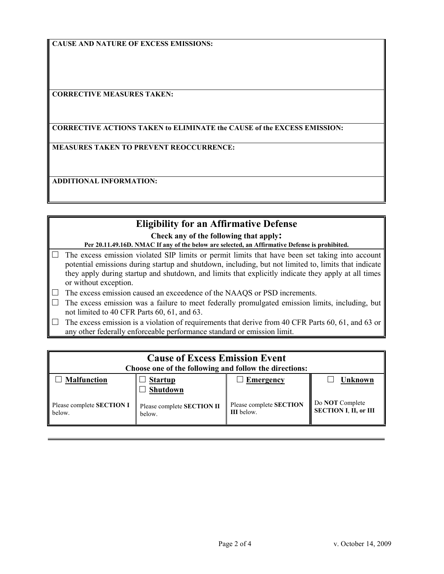CAUSE AND NATURE OF EXCESS EMISSIONS:

CORRECTIVE MEASURES TAKEN:

#### CORRECTIVE ACTIONS TAKEN to ELIMINATE the CAUSE of the EXCESS EMISSION:

MEASURES TAKEN TO PREVENT REOCCURRENCE:

ADDITIONAL INFORMATION:

### Eligibility for an Affirmative Defense

Check any of the following that apply:

Per 20.11.49.16D. NMAC If any of the below are selected, an Affirmative Defense is prohibited.

 $\Box$  The excess emission violated SIP limits or permit limits that have been set taking into account potential emissions during startup and shutdown, including, but not limited to, limits that indicate they apply during startup and shutdown, and limits that explicitly indicate they apply at all times or without exception.

 $\Box$  The excess emission caused an exceedence of the NAAQS or PSD increments.

- $\Box$  The excess emission was a failure to meet federally promulgated emission limits, including, but not limited to 40 CFR Parts 60, 61, and 63.
- $\Box$  The excess emission is a violation of requirements that derive from 40 CFR Parts 60, 61, and 63 or any other federally enforceable performance standard or emission limit.

| <b>Cause of Excess Emission Event</b><br>Choose one of the following and follow the directions: |                                      |                                       |                                          |  |  |  |
|-------------------------------------------------------------------------------------------------|--------------------------------------|---------------------------------------|------------------------------------------|--|--|--|
| <b>Malfunction</b>                                                                              | <b>Startup</b><br>Shutdown           | <b>Emergency</b>                      | Unknown                                  |  |  |  |
| Please complete SECTION I<br>below.                                                             | Please complete SECTION II<br>below. | Please complete SECTION<br>III below. | Do NOT Complete<br>SECTION I, II, or III |  |  |  |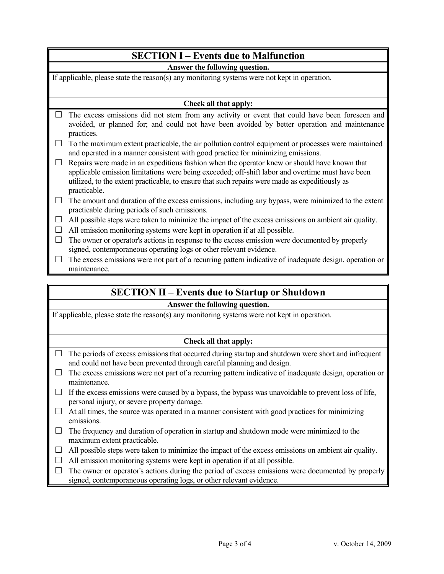# SECTION I – Events due to Malfunction

#### Answer the following question.

If applicable, please state the reason(s) any monitoring systems were not kept in operation.

#### Check all that apply:

 $\Box$  The excess emissions did not stem from any activity or event that could have been foreseen and avoided, or planned for; and could not have been avoided by better operation and maintenance practices.

 $\Box$  To the maximum extent practicable, the air pollution control equipment or processes were maintained and operated in a manner consistent with good practice for minimizing emissions.

 $\Box$  Repairs were made in an expeditious fashion when the operator knew or should have known that applicable emission limitations were being exceeded; off-shift labor and overtime must have been utilized, to the extent practicable, to ensure that such repairs were made as expeditiously as practicable.

 $\Box$  The amount and duration of the excess emissions, including any bypass, were minimized to the extent practicable during periods of such emissions.

 $\Box$  All possible steps were taken to minimize the impact of the excess emissions on ambient air quality.

 $\Box$  All emission monitoring systems were kept in operation if at all possible.

 $\Box$  The owner or operator's actions in response to the excess emission were documented by properly signed, contemporaneous operating logs or other relevant evidence.

 $\Box$  The excess emissions were not part of a recurring pattern indicative of inadequate design, operation or maintenance.

### SECTION II – Events due to Startup or Shutdown

#### Answer the following question.

If applicable, please state the reason(s) any monitoring systems were not kept in operation.

#### Check all that apply:

- $\Box$  The periods of excess emissions that occurred during startup and shutdown were short and infrequent and could not have been prevented through careful planning and design.
- $\Box$  The excess emissions were not part of a recurring pattern indicative of inadequate design, operation or maintenance.
- $\Box$  If the excess emissions were caused by a bypass, the bypass was unavoidable to prevent loss of life, personal injury, or severe property damage.
- $\Box$  At all times, the source was operated in a manner consistent with good practices for minimizing emissions.
- $\Box$  The frequency and duration of operation in startup and shutdown mode were minimized to the maximum extent practicable.
- $\Box$  All possible steps were taken to minimize the impact of the excess emissions on ambient air quality.
- $\Box$  All emission monitoring systems were kept in operation if at all possible.
- $\Box$  The owner or operator's actions during the period of excess emissions were documented by properly signed, contemporaneous operating logs, or other relevant evidence.